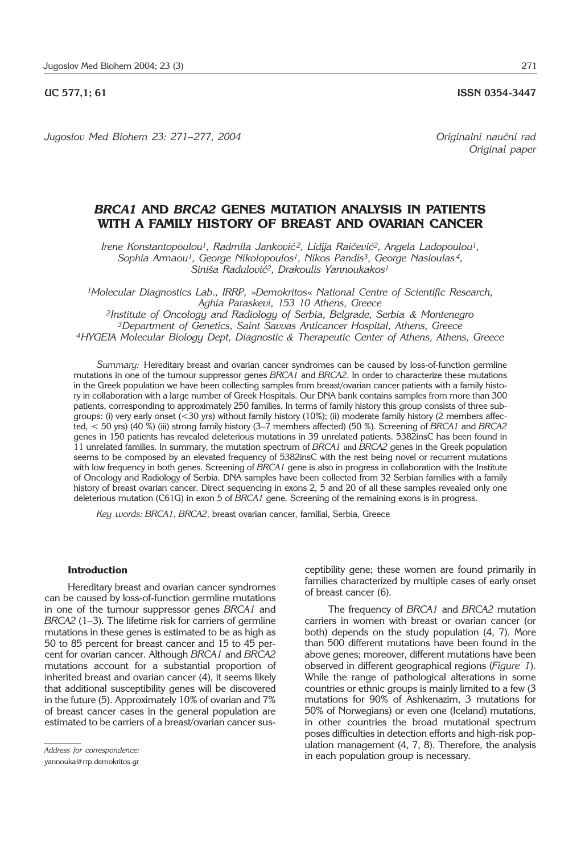*Jugoslov Med Biohem 23: 271– 277, 2004 Originalni nau~ni rad*

*Original paper*

# *BRCA1* **AND** *BRCA2* **GENES MUTATION ANALYSIS IN PATIENTS WITH A FAMILY HISTORY OF BREAST AND OVARIAN CANCER**

Irene Konstantopoulou<sup>1</sup>, Radmila Janković<sup>2</sup>, Lidija Raičević<sup>2</sup>, Angela Ladopoulou<sup>1</sup>, *Sophia Armaou1, George Nikolopoulos1, Nikos Pandis3, George Nasioulas 4, Sini{a Radulovi}2, Drakoulis Yannoukakos1*

*1Molecular Diagnostics Lab., IRRP,* »*Demokritos*« *National Centre of Scientific Research, Aghia Paraskevi, 153 10 Athens, Greece* 

*2Institute of Oncology and Radiology of Serbia, Belgrade, Serbia & Montenegro 3Department of Genetics, Saint Savvas Anticancer Hospital, Athens, Greece 4HYGEIA Molecular Biology Dept, Diagnostic & Therapeutic Center of Athens, Athens, Greece*

*Summary:* Hereditary breast and ovarian cancer syndromes can be caused by loss-of-function germline mutations in one of the tumour suppressor genes *BRCA1* and *BRCA2*. In order to characterize these mutations in the Greek population we have been collecting samples from breast/ovarian cancer patients with a family history in collaboration with a large number of Greek Hospitals. Our DNA bank contains samples from more than 300 patients, corresponding to approximately 250 families. In terms of family history this group consists of three subgroups: (i) very early onset (<30 yrs) without family history (10%); (ii) moderate family history (2 members affected, < 50 yrs) (40 %) (iii) strong family history (3'7 members affected) (50 %). Screening of *BRCA1* and *BRCA2* genes in 150 patients has revealed deleterious mutations in 39 unrelated patients. 5382insC has been found in 11 unrelated families. In summary, the mutation spectrum of *BRCA1* and *BRCA2* genes in the Greek population seems to be composed by an elevated frequency of 5382insC with the rest being novel or recurrent mutations with low frequency in both genes. Screening of *BRCA1* gene is also in progress in collaboration with the Institute of Oncology and Radiology of Serbia. DNA samples have been collected from 32 Serbian families with a family history of breast ovarian cancer. Direct sequencing in exons 2, 5 and 20 of all these samples revealed only one deleterious mutation (C61G) in exon 5 of *BRCA1* gene. Screening of the remaining exons is in progress.

*Key words: BRCA1*, *BRCA2*, breast ovarian cancer, familial, Serbia, Greece

#### **Introduction**

Hereditary breast and ovarian cancer syndromes can be caused by loss-of-function germline mutations in one of the tumour suppressor genes *BRCA1* and *BRCA2* (1–3). The lifetime risk for carriers of germline mutations in these genes is estimated to be as high as 50 to 85 percent for breast cancer and 15 to 45 percent for ovarian cancer. Although *BRCA1* and *BRCA2* mutations account for a substantial proportion of inherited breast and ovarian cancer (4), it seems likely that additional susceptibility genes will be discovered in the future (5). Approximately 10% of ovarian and 7% of breast cancer cases in the general population are estimated to be carriers of a breast/ovarian cancer sus-

yannouka@rrp.demokritos.gr

ceptibility gene; these women are found primarily in families characterized by multiple cases of early onset of breast cancer (6).

The frequency of *BRCA1* and *BRCA2* mutation carriers in women with breast or ovarian cancer (or both) depends on the study population (4, 7). More than 500 different mutations have been found in the above genes; moreover, different mutations have been observed in different geographical regions (*Figure 1*). While the range of pathological alterations in some countries or ethnic groups is mainly limited to a few (3 mutations for 90% of Ashkenazim, 3 mutations for 50% of Norwegians) or even one (Iceland) mutations, in other countries the broad mutational spectrum poses difficulties in detection efforts and high-risk population management (4, 7, 8). Therefore, the analysis in each population group is necessary.

*Address for correspondence:*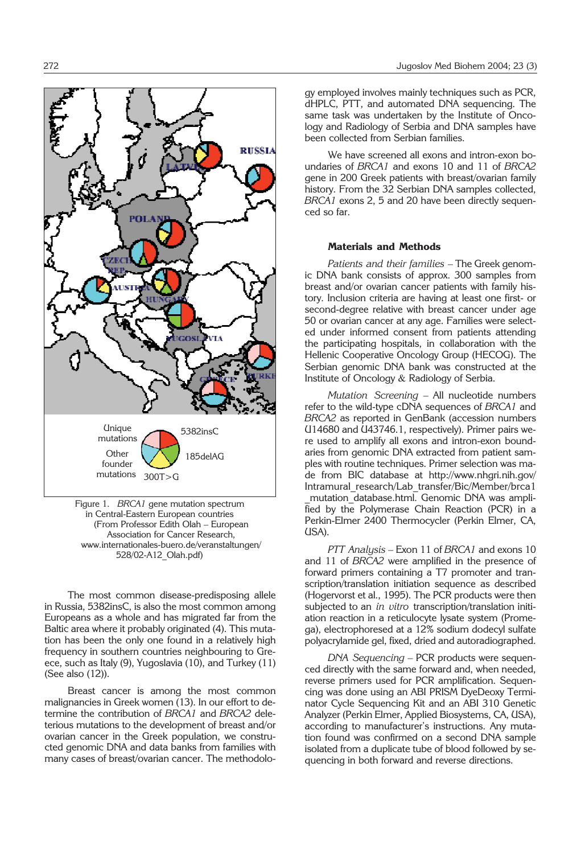

Figure 1. *BRCA1* gene mutation spectrum in Central-Eastern European countries (From Professor Edith Olah – European Association for Cancer Research, www.internationales-buero.de/veranstaltungen/ 528/02-A12\_Olah.pdf)

The most common disease-predisposing allele in Russia, 5382insC, is also the most common among Europeans as a whole and has migrated far from the Baltic area where it probably originated (4). This mutation has been the only one found in a relatively high frequency in southern countries neighbouring to Greece, such as Italy (9), Yugoslavia (10), and Turkey (11) (See also (12)).

Breast cancer is among the most common malignancies in Greek women (13). In our effort to determine the contribution of *BRCA1* and *BRCA2* deleterious mutations to the development of breast and/or ovarian cancer in the Greek population, we constructed genomic DNA and data banks from families with many cases of breast/ovarian cancer. The methodology employed involves mainly techniques such as PCR, dHPLC, PTT, and automated DNA sequencing. The same task was undertaken by the Institute of Oncology and Radiology of Serbia and DNA samples have been collected from Serbian families.

We have screened all exons and intron-exon boundaries of *BRCA1* and exons 10 and 11 of *BRCA2* gene in 200 Greek patients with breast/ovarian family history. From the 32 Serbian DNA samples collected, *BRCA1* exons 2, 5 and 20 have been directly sequenced so far.

## **Materials and Methods**

*Patients and their families* – The Greek genomic DNA bank consists of approx. 300 samples from breast and/or ovarian cancer patients with family history. Inclusion criteria are having at least one first- or second-degree relative with breast cancer under age 50 or ovarian cancer at any age. Families were selected under informed consent from patients attending the participating hospitals, in collaboration with the Hellenic Cooperative Oncology Group (HECOG). The Serbian genomic DNA bank was constructed at the Institute of Oncology & Radiology of Serbia.

*Mutation Screening* – All nucleotide numbers refer to the wild-type cDNA sequences of *BRCA1* and *BRCA2* as reported in GenBank (accession numbers U14680 and U43746.1, respectively). Primer pairs were used to amplify all exons and intron-exon boundaries from genomic DNA extracted from patient samples with routine techniques. Primer selection was made from BIC database at http://www.nhgri.nih.gov/ Intramural\_research/Lab\_transfer/Bic/Member/brca1 mutation database.html. Genomic DNA was amplified by the Polymerase Chain Reaction (PCR) in a Perkin-Elmer 2400 Thermocycler (Perkin Elmer, CA, USA).

*PTT Analysis* – Exon 11 of *BRCA1* and exons 10 and 11 of *BRCA2* were amplified in the presence of forward primers containing a T7 promoter and transcription/translation initiation sequence as described (Hogervorst et al., 1995). The PCR products were then subjected to an *in vitro* transcription/translation initiation reaction in a reticulocyte lysate system (Promega), electrophoresed at a 12% sodium dodecyl sulfate polyacrylamide gel, fixed, dried and autoradiographed.

*DNA Sequencing* – PCR products were sequenced directly with the same forward and, when needed, reverse primers used for PCR amplification. Sequencing was done using an ABI PRISM DyeDeoxy Terminator Cycle Sequencing Kit and an ABI 310 Genetic Analyzer (Perkin Elmer, Applied Biosystems, CA, USA), according to manufacturer's instructions. Any mutation found was confirmed on a second DNA sample isolated from a duplicate tube of blood followed by sequencing in both forward and reverse directions.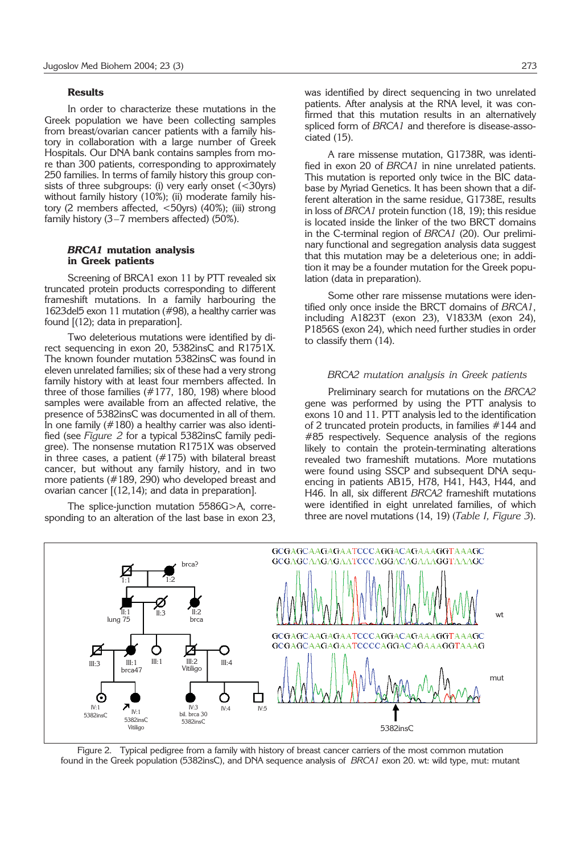#### **Results**

In order to characterize these mutations in the Greek population we have been collecting samples from breast/ovarian cancer patients with a family history in collaboration with a large number of Greek Hospitals. Our DNA bank contains samples from more than 300 patients, corresponding to approximately 250 families. In terms of family history this group consists of three subgroups: (i) very early onset  $\left($  < 30yrs) without family history (10%); (ii) moderate family history (2 members affected, <50yrs) (40%); (iii) strong family history (3–7 members affected) (50%).

# *BRCA1* **mutation analysis in Greek patients**

Screening of BRCA1 exon 11 by PTT revealed six truncated protein products corresponding to different frameshift mutations. In a family harbouring the 1623del5 exon 11 mutation (#98), a healthy carrier was found [(12); data in preparation].

Two deleterious mutations were identified by direct sequencing in exon 20, 5382insC and R1751X. The known founder mutation 5382insC was found in eleven unrelated families; six of these had a very strong family history with at least four members affected. In three of those families (#177, 180, 198) where blood samples were available from an affected relative, the presence of 5382insC was documented in all of them. In one family (#180) a healthy carrier was also identified (see *Figure 2* for a typical 5382insC family pedigree). The nonsense mutation R1751X was observed in three cases, a patient  $(\#175)$  with bilateral breast cancer, but without any family history, and in two more patients (#189, 290) who developed breast and ovarian cancer [(12,14); and data in preparation].

The splice-junction mutation 5586G>A, corresponding to an alteration of the last base in exon 23, was identified by direct sequencing in two unrelated patients. After analysis at the RNA level, it was confirmed that this mutation results in an alternatively spliced form of *BRCA1* and therefore is disease-associated (15).

A rare missense mutation, G1738R, was identified in exon 20 of *BRCA1* in nine unrelated patients. This mutation is reported only twice in the BIC database by Myriad Genetics. It has been shown that a different alteration in the same residue, G1738E, results in loss of *BRCA1* protein function (18, 19); this residue is located inside the linker of the two BRCT domains in the C-terminal region of *BRCA1* (20). Our preliminary functional and segregation analysis data suggest that this mutation may be a deleterious one; in addition it may be a founder mutation for the Greek population (data in preparation).

Some other rare missense mutations were identified only once inside the BRCT domains of *BRCA1*, including A1823T (exon 23), V1833M (exon 24), P1856S (exon 24), which need further studies in order to classify them (14).

#### *BRCA2 mutation analysis in Greek patients*

Preliminary search for mutations on the *BRCA2* gene was performed by using the PTT analysis to exons 10 and 11. PTT analysis led to the identification of 2 truncated protein products, in families #144 and #85 respectively. Sequence analysis of the regions likely to contain the protein-terminating alterations revealed two frameshift mutations. More mutations were found using SSCP and subsequent DNA sequencing in patients AB15, H78, H41, H43, H44, and H46. In all, six different *BRCA2* frameshift mutations were identified in eight unrelated families, of which three are novel mutations (14, 19) (*Table I, Figure 3*).



Figure 2. Typical pedigree from a family with history of breast cancer carriers of the most common mutation found in the Greek population (5382insC), and DNA sequence analysis of *BRCA1* exon 20. wt: wild type, mut: mutant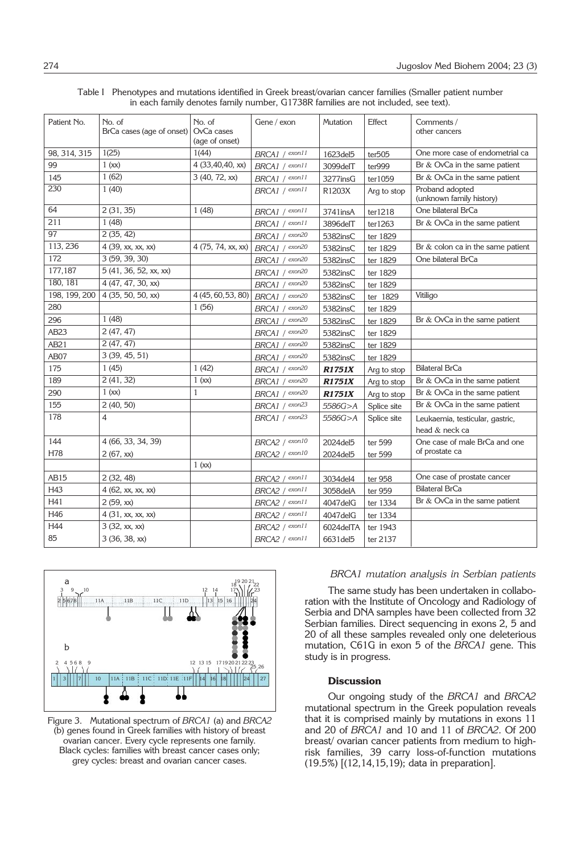| Patient No.   | No. of                    | No. of             | Gene / exon    | Mutation      | Effect      | Comments /                                  |
|---------------|---------------------------|--------------------|----------------|---------------|-------------|---------------------------------------------|
|               | BrCa cases (age of onset) | OvCa cases         |                |               |             | other cancers                               |
|               |                           | (age of onset)     |                |               |             |                                             |
| 98, 314, 315  | 1(25)                     | 1(44)              | BRCA1 / exon11 | 1623 del 5    | ter505      | One more case of endometrial ca             |
| 99            | 1(xx)                     | 4 (33,40,40, xx)   | BRCA1 / exon11 | 3099delT      | ter999      | Br & OvCa in the same patient               |
| 145           | 1(62)                     | 3 (40, 72, xx)     | BRCA1 / exon11 | 3277insG      | ter1059     | Br & OvCa in the same patient               |
| 230           | 1(40)                     |                    | BRCA1 / exon11 | R1203X        | Arg to stop | Proband adopted<br>(unknown family history) |
| 64            | 2(31, 35)                 | 1(48)              | BRCA1 / exon11 | 3741insA      | ter1218     | One bilateral BrCa                          |
| 211           | 1(48)                     |                    | BRCA1 / exon11 | 3896delT      | ter1263     | Br & OvCa in the same patient               |
| 97            | 2(35, 42)                 |                    | BRCA1 / econ20 | 5382insC      | ter 1829    |                                             |
| 113, 236      | 4 (39, xx, xx, xx)        | 4 (75, 74, xx, xx) | BRCA1 / exon20 | 5382insC      | ter 1829    | Br & colon ca in the same patient           |
| 172           | 3 (59, 39, 30)            |                    | BRCA1 / exon20 | 5382insC      | ter 1829    | One bilateral BrCa                          |
| 177,187       | 5 (41, 36, 52, xx, xx)    |                    | BRCA1 / exon20 | 5382insC      | ter 1829    |                                             |
| 180, 181      | 4(47, 47, 30, xx)         |                    | BRCA1 / exon20 | 5382insC      | ter 1829    |                                             |
| 198, 199, 200 | 4 (35, 50, 50, xx)        | 4 (45, 60, 53, 80) | BRCA1 / exon20 | 5382insC      | ter 1829    | Vitiligo                                    |
| 280           |                           | 1(56)              | BRCA1 / exon20 | 5382insC      | ter 1829    |                                             |
| 296           | 1(48)                     |                    | BRCA1 / exon20 | 5382insC      | ter 1829    | Br & OvCa in the same patient               |
| <b>AB23</b>   | 2(47, 47)                 |                    | BRCA1 / exon20 | 5382insC      | ter 1829    |                                             |
| AB21          | 2(47, 47)                 |                    | BRCA1 / exon20 | 5382insC      | ter 1829    |                                             |
| AB07          | 3 (39, 45, 51)            |                    | BRCA1 / exon20 | 5382insC      | ter 1829    |                                             |
| 175           | 1(45)                     | 1(42)              | BRCA1 / exon20 | <b>R1751X</b> | Arg to stop | <b>Bilateral BrCa</b>                       |
| 189           | 2(41, 32)                 | 1(xx)              | BRCA1 / exon20 | <b>R1751X</b> | Arg to stop | Br & OvCa in the same patient               |
| 290           | 1(xx)                     | 1                  | BRCA1 / exon20 | <b>R1751X</b> | Arg to stop | Br & OvCa in the same patient               |
| 155           | 2(40, 50)                 |                    | BRCA1 / exon23 | 5586G>A       | Splice site | Br & OvCa in the same patient               |
| 178           | $\overline{4}$            |                    | BRCA1 / exon23 | 5586G>A       | Splice site | Leukaemia, testicular, gastric,             |
|               |                           |                    |                |               |             | head & neck ca                              |
| 144           | 4 (66, 33, 34, 39)        |                    | BRCA2 / exon10 | 2024del5      | ter 599     | One case of male BrCa and one               |
| H78           | 2(67, xx)                 |                    | BRCA2 / exon10 | 2024 del 5    | ter 599     | of prostate ca                              |
|               |                           | 1(xx)              |                |               |             |                                             |
| AB15          | 2(32, 48)                 |                    | BRCA2 / exon11 | 3034del4      | ter 958     | One case of prostate cancer                 |
| H43           | 4 (62, xx, xx, xx)        |                    | BRCA2 / exon11 | 3058delA      | ter 959     | <b>Bilateral BrCa</b>                       |
| H41           | 2(59, xx)                 |                    | BRCA2 / exon11 | 4047delG      | ter 1334    | Br & OvCa in the same patient               |
| H46           | 4(31, xx, xx, xx)         |                    | BRCA2 / exon11 | 4047 del G    | ter 1334    |                                             |
| H44           | 3 (32, xx, xx)            |                    | BRCA2 / exon11 | 6024delTA     | ter 1943    |                                             |
| 85            | 3 (36, 38, xx)            |                    | BRCA2 / exon11 | 6631 del 5    | ter 2137    |                                             |

Table I Phenotypes and mutations identified in Greek breast/ovarian cancer families (Smaller patient number in each family denotes family number, G1738R families are not included, see text).



Figure 3. Mutational spectrum of *BRCA1* (a) and *BRCA2* (b) genes found in Greek families with history of breast ovarian cancer. Every cycle represents one family. Black cycles: families with breast cancer cases only; grey cycles: breast and ovarian cancer cases.

# *BRCA1 mutation analysis in Serbian patients*

The same study has been undertaken in collaboration with the Institute of Oncology and Radiology of Serbia and DNA samples have been collected from 32 Serbian families. Direct sequencing in exons 2, 5 and 20 of all these samples revealed only one deleterious mutation, C61G in exon 5 of the *BRCA1* gene. This study is in progress.

#### **Discussion**

Our ongoing study of the *BRCA1* and *BRCA2* mutational spectrum in the Greek population reveals that it is comprised mainly by mutations in exons 11 and 20 of *BRCA1* and 10 and 11 of *BRCA2*. Of 200 breast/ ovarian cancer patients from medium to highrisk families, 39 carry loss-of-function mutations (19.5%) [(12,14,15,19); data in preparation].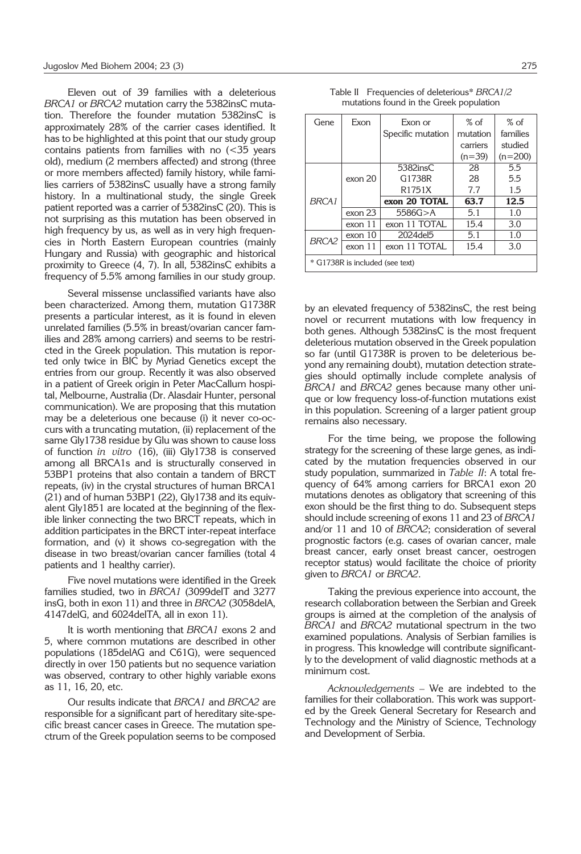Eleven out of 39 families with a deleterious *BRCA1* or *BRCA2* mutation carry the 5382insC mutation. Therefore the founder mutation 5382insC is approximately 28% of the carrier cases identified. It has to be highlighted at this point that our study group contains patients from families with no (<35 years old), medium (2 members affected) and strong (three or more members affected) family history, while families carriers of 5382insC usually have a strong family history. In a multinational study, the single Greek patient reported was a carrier of 5382insC (20). This is not surprising as this mutation has been observed in high frequency by us, as well as in very high frequencies in North Eastern European countries (mainly Hungary and Russia) with geographic and historical proximity to Greece (4, 7). In all, 5382insC exhibits a frequency of 5.5% among families in our study group.

Several missense unclassified variants have also been characterized. Among them, mutation G1738R presents a particular interest, as it is found in eleven unrelated families (5.5% in breast/ovarian cancer families and 28% among carriers) and seems to be restricted in the Greek population. This mutation is reported only twice in BIC by Myriad Genetics except the entries from our group. Recently it was also observed in a patient of Greek origin in Peter MacCallum hospital, Melbourne, Australia (Dr. Alasdair Hunter, personal communication). We are proposing that this mutation may be a deleterious one because (i) it never co-occurs with a truncating mutation, (ii) replacement of the same Gly1738 residue by Glu was shown to cause loss of function *in vitro* (16), (iii) Gly1738 is conserved among all BRCA1s and is structurally conserved in 53BP1 proteins that also contain a tandem of BRCT repeats, (iv) in the crystal structures of human BRCA1 (21) and of human 53BP1 (22), Gly1738 and its equivalent Gly1851 are located at the beginning of the flexible linker connecting the two BRCT repeats, which in addition participates in the BRCT inter-repeat interface formation, and (v) it shows co-segregation with the disease in two breast/ovarian cancer families (total 4 patients and 1 healthy carrier).

Five novel mutations were identified in the Greek families studied, two in *BRCA1* (3099delT and 3277 insG, both in exon 11) and three in *BRCA2* (3058delA, 4147delG, and 6024delTA, all in exon 11).

It is worth mentioning that *BRCA1* exons 2 and 5, where common mutations are described in other populations (185delAG and C61G), were sequenced directly in over 150 patients but no sequence variation was observed, contrary to other highly variable exons as 11, 16, 20, etc.

Our results indicate that *BRCA1* and *BRCA2* are responsible for a significant part of hereditary site-specific breast cancer cases in Greece. The mutation spectrum of the Greek population seems to be composed

| Table II Frequencies of deleterious* BRCA1/2 |  |
|----------------------------------------------|--|
| mutations found in the Greek population      |  |

| Gene                            | Exon    | Exon or             | $%$ of   | $%$ of    |  |  |  |
|---------------------------------|---------|---------------------|----------|-----------|--|--|--|
|                                 |         | Specific mutation   | mutation | families  |  |  |  |
|                                 |         |                     | carriers | studied   |  |  |  |
|                                 |         |                     | $(n=39)$ | $(n=200)$ |  |  |  |
|                                 |         | 5382insC            | 28       | 5.5       |  |  |  |
|                                 | exon 20 | G1738R              | 28       | 5.5       |  |  |  |
|                                 |         | R <sub>1751</sub> X | 7.7      | 1.5       |  |  |  |
| BRCA <sub>1</sub>               |         | exon 20 TOTAL       | 63.7     | 12.5      |  |  |  |
|                                 | exon 23 | 5586G > A           | 5.1      | 1.0       |  |  |  |
|                                 | exon 11 | exon 11 TOTAL       | 15.4     | 3.0       |  |  |  |
| <b>BRCA2</b>                    | exon 10 | 2024 del 5          | 5.1      | 1.0       |  |  |  |
|                                 | exon 11 | exon 11 TOTAL       | 15.4     | 3.0       |  |  |  |
| * G1738R is included (see text) |         |                     |          |           |  |  |  |

by an elevated frequency of 5382insC, the rest being novel or recurrent mutations with low frequency in both genes. Although 5382insC is the most frequent deleterious mutation observed in the Greek population so far (until G1738R is proven to be deleterious beyond any remaining doubt), mutation detection strategies should optimally include complete analysis of *BRCA1* and *BRCA2* genes because many other unique or low frequency loss-of-function mutations exist in this population. Screening of a larger patient group remains also necessary.

For the time being, we propose the following strategy for the screening of these large genes, as indicated by the mutation frequencies observed in our study population, summarized in *Table II*: A total frequency of 64% among carriers for BRCA1 exon 20 mutations denotes as obligatory that screening of this exon should be the first thing to do. Subsequent steps should include screening of exons 11 and 23 of *BRCA1* and/or 11 and 10 of *BRCA2*; consideration of several prognostic factors (e.g. cases of ovarian cancer, male breast cancer, early onset breast cancer, oestrogen receptor status) would facilitate the choice of priority given to *BRCA1* or *BRCA2*.

Taking the previous experience into account, the research collaboration between the Serbian and Greek groups is aimed at the completion of the analysis of *BRCA1* and *BRCA2* mutational spectrum in the two examined populations. Analysis of Serbian families is in progress. This knowledge will contribute significantly to the development of valid diagnostic methods at a minimum cost.

*Acknowledgements* – We are indebted to the families for their collaboration. This work was supported by the Greek General Secretary for Research and Technology and the Ministry of Science, Technology and Development of Serbia.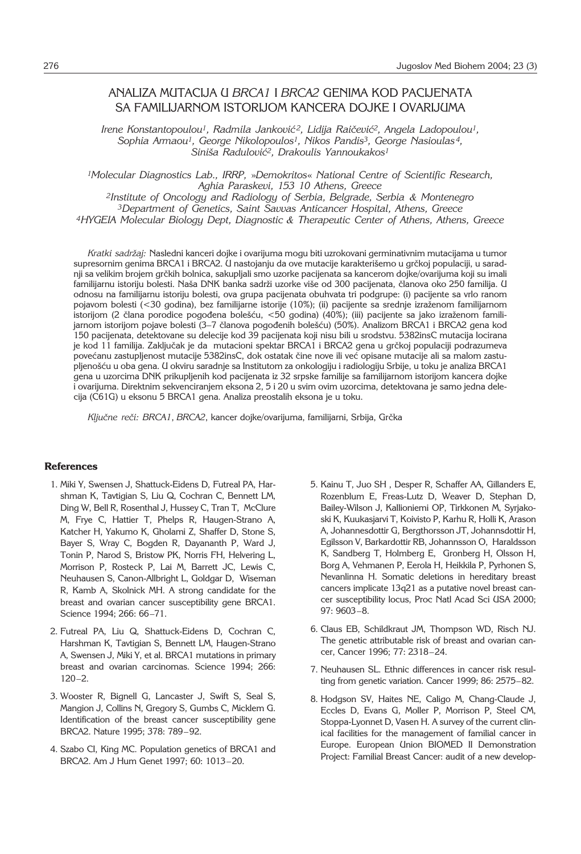# ANALIZA MUTACIJA U *BRCA1* I *BRCA2* GENIMA KOD PACIJENATA SA FAMILIJARNOM ISTORIJOM KANCERA DOJKE I OVARIJUMA

Irene Konstantopoulou<sup>1</sup>, Radmila Janković<sup>2</sup>, Lidija Raičević<sup>2</sup>, Angela Ladopoulou<sup>1</sup>, *Sophia Armaou1, George Nikolopoulos1, Nikos Pandis3, George Nasioulas 4, Sini{a Radulovi}2, Drakoulis Yannoukakos1*

*1Molecular Diagnostics Lab., IRRP,* »*Demokritos*« *National Centre of Scientific Research, Aghia Paraskevi, 153 10 Athens, Greece* 

*2Institute of Oncology and Radiology of Serbia, Belgrade, Serbia & Montenegro 3Department of Genetics, Saint Savvas Anticancer Hospital, Athens, Greece 4HYGEIA Molecular Biology Dept, Diagnostic & Therapeutic Center of Athens, Athens, Greece*

*Kratki sadr`aj:* Nasledni kanceri dojke i ovarijuma mogu biti uzrokovani germinativnim mutacijama u tumor supresornim genima BRCA1 i BRCA2. U nastojanju da ove mutacije karakterišemo u grčkoj populaciji, u saradnji sa velikim brojem grčkih bolnica, sakupljali smo uzorke pacijenata sa kancerom dojke/ovarijuma koji su imali familijarnu istoriju bolesti. Naša DNK banka sadrži uzorke više od 300 pacijenata, članova oko 250 familija. U odnosu na familijarnu istoriju bolesti, ova grupa pacijenata obuhvata tri podgrupe: (i) pacijente sa vrlo ranom pojavom bolesti (<30 godina), bez familijarne istorije (10%); (ii) pacijente sa srednje izra`enom familijarnom istorijom (2 člana porodice pogođena bolešću, <50 godina) (40%); (iii) pacijente sa jako izraženom familijarnom istorijom pojave bolesti (3-7 članova pogođenih bolešću) (50%). Analizom BRCA1 i BRCA2 gena kod 150 pacijenata, detektovane su delecije kod 39 pacijenata koji nisu bili u srodstvu. 5382insC mutacija locirana je kod 11 familija. Zaključak je da mutacioni spektar BRCA1 i BRCA2 gena u grčkoj populaciji podrazumeva povećanu zastupljenost mutacije 5382insC, dok ostatak čine nove ili već opisane mutacije ali sa malom zastupljenošću u oba gena. U okviru saradnje sa Institutom za onkologiju i radiologiju Srbije, u toku je analiza BRCA1 gena u uzorcima DNK prikupljenih kod pacijenata iz 32 srpske familije sa familijarnom istorijom kancera dojke i ovarijuma. Direktnim sekvenciranjem eksona 2, 5 i 20 u svim ovim uzorcima, detektovana je samo jedna delecija (C61G) u eksonu 5 BRCA1 gena. Analiza preostalih eksona je u toku.

Ključne reči: BRCA1, BRCA2, kancer dojke/ovarijuma, familijarni, Srbija, Grčka

#### **References**

- 1. Miki Y, Swensen J, Shattuck-Eidens D, Futreal PA, Harshman K, Tavtigian S, Liu Q, Cochran C, Bennett LM, Ding W, Bell R, Rosenthal J, Hussey C, Tran T, McClure M, Frye C, Hattier T, Phelps R, Haugen-Strano A, Katcher H, Yakumo K, Gholami Z, Shaffer D, Stone S, Bayer S, Wray C, Bogden R, Dayananth P, Ward J, Tonin P, Narod S, Bristow PK, Norris FH, Helvering L, Morrison P, Rosteck P, Lai M, Barrett JC, Lewis C, Neuhausen S, Canon-Allbright L, Goldgar D, Wiseman R, Kamb A, Skolnick MH. A strong candidate for the breast and ovarian cancer susceptibility gene BRCA1. Science 1994; 266: 66–71.
- 2. Futreal PA, Liu Q, Shattuck-Eidens D, Cochran C, Harshman K, Tavtigian S, Bennett LM, Haugen-Strano A, Swensen J, Miki Y, et al. BRCA1 mutations in primary breast and ovarian carcinomas. Science 1994; 266:  $120 - 2$
- 3. Wooster R, Bignell G, Lancaster J, Swift S, Seal S, Mangion J, Collins N, Gregory S, Gumbs C, Micklem G. Identification of the breast cancer susceptibility gene BRCA2. Nature 1995; 378: 789–92.
- 4. Szabo CI, King MC. Population genetics of BRCA1 and BRCA2. Am J Hum Genet 1997; 60: 1013–20.
- 5. Kainu T, Juo SH , Desper R, Schaffer AA, Gillanders E, Rozenblum E, Freas-Lutz D, Weaver D, Stephan D, Bailey-Wilson J, Kallioniemi OP, Tirkkonen M, Syrjakoski K, Kuukasjarvi T, Koivisto P, Karhu R, Holli K, Arason A, Johannesdottir G, Bergthorsson JT, Johannsdottir H, Egilsson V, Barkardottir RB, Johannsson O, Haraldsson K, Sandberg T, Holmberg E, Gronberg H, Olsson H, Borg A, Vehmanen P, Eerola H, Heikkila P, Pyrhonen S, Nevanlinna H. Somatic deletions in hereditary breast cancers implicate 13q21 as a putative novel breast cancer susceptibility locus, Proc Natl Acad Sci USA 2000; 97: 9603–8.
- 6. Claus EB, Schildkraut JM, Thompson WD, Risch NJ. The genetic attributable risk of breast and ovarian cancer, Cancer 1996; 77: 2318–24.
- 7. Neuhausen SL. Ethnic differences in cancer risk resulting from genetic variation. Cancer 1999; 86: 2575–82.
- 8. Hodgson SV, Haites NE, Caligo M, Chang-Claude J, Eccles D, Evans G, Moller P, Morrison P, Steel CM, Stoppa-Lyonnet D, Vasen H. A survey of the current clinical facilities for the management of familial cancer in Europe. European Union BIOMED II Demonstration Project: Familial Breast Cancer: audit of a new develop-